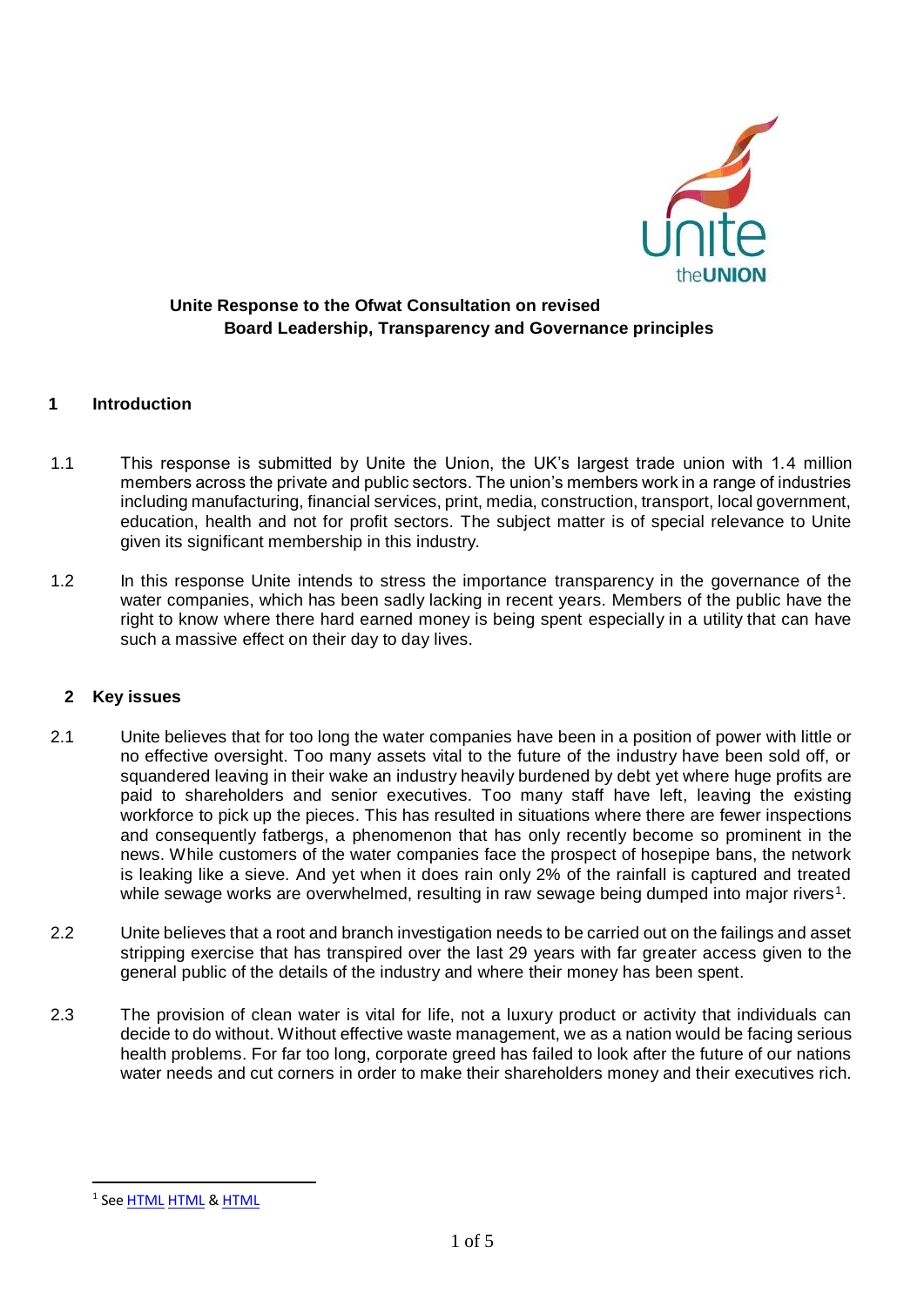

#### **1 Introduction**

- 1.1 This response is submitted by Unite the Union, the UK's largest trade union with 1.4 million members across the private and public sectors. The union's members work in a range of industries including manufacturing, financial services, print, media, construction, transport, local government, education, health and not for profit sectors. The subject matter is of special relevance to Unite given its significant membership in this industry.
- 1.2 In this response Unite intends to stress the importance transparency in the governance of the water companies, which has been sadly lacking in recent years. Members of the public have the right to know where there hard earned money is being spent especially in a utility that can have such a massive effect on their day to day lives.

#### **2 Key issues**

- 2.1 Unite believes that for too long the water companies have been in a position of power with little or no effective oversight. Too many assets vital to the future of the industry have been sold off, or squandered leaving in their wake an industry heavily burdened by debt yet where huge profits are paid to shareholders and senior executives. Too many staff have left, leaving the existing workforce to pick up the pieces. This has resulted in situations where there are fewer inspections and consequently fatbergs, a phenomenon that has only recently become so prominent in the news. While customers of the water companies face the prospect of hosepipe bans, the network is leaking like a sieve. And yet when it does rain only 2% of the rainfall is captured and treated while sewage works are overwhelmed, resulting in raw sewage being dumped into major rivers<sup>1</sup>.
- 2.2 Unite believes that a root and branch investigation needs to be carried out on the failings and asset stripping exercise that has transpired over the last 29 years with far greater access given to the general public of the details of the industry and where their money has been spent.
- 2.3 The provision of clean water is vital for life, not a luxury product or activity that individuals can decide to do without. Without effective waste management, we as a nation would be facing serious health problems. For far too long, corporate greed has failed to look after the future of our nations water needs and cut corners in order to make their shareholders money and their executives rich.

<sup>&</sup>lt;sup>1</sup> See <u>HTML</u> [HTML](https://www.theguardian.com/environment/2017/oct/16/raw-sewage-flowing-into-rivers-across-england-and-wales) & <u>[HTML](https://www.independent.co.uk/news/uk/home-news/raw-sewage-uk-rivers-pollution-england-wales-wwf-wildlife-a8006246.html)</u>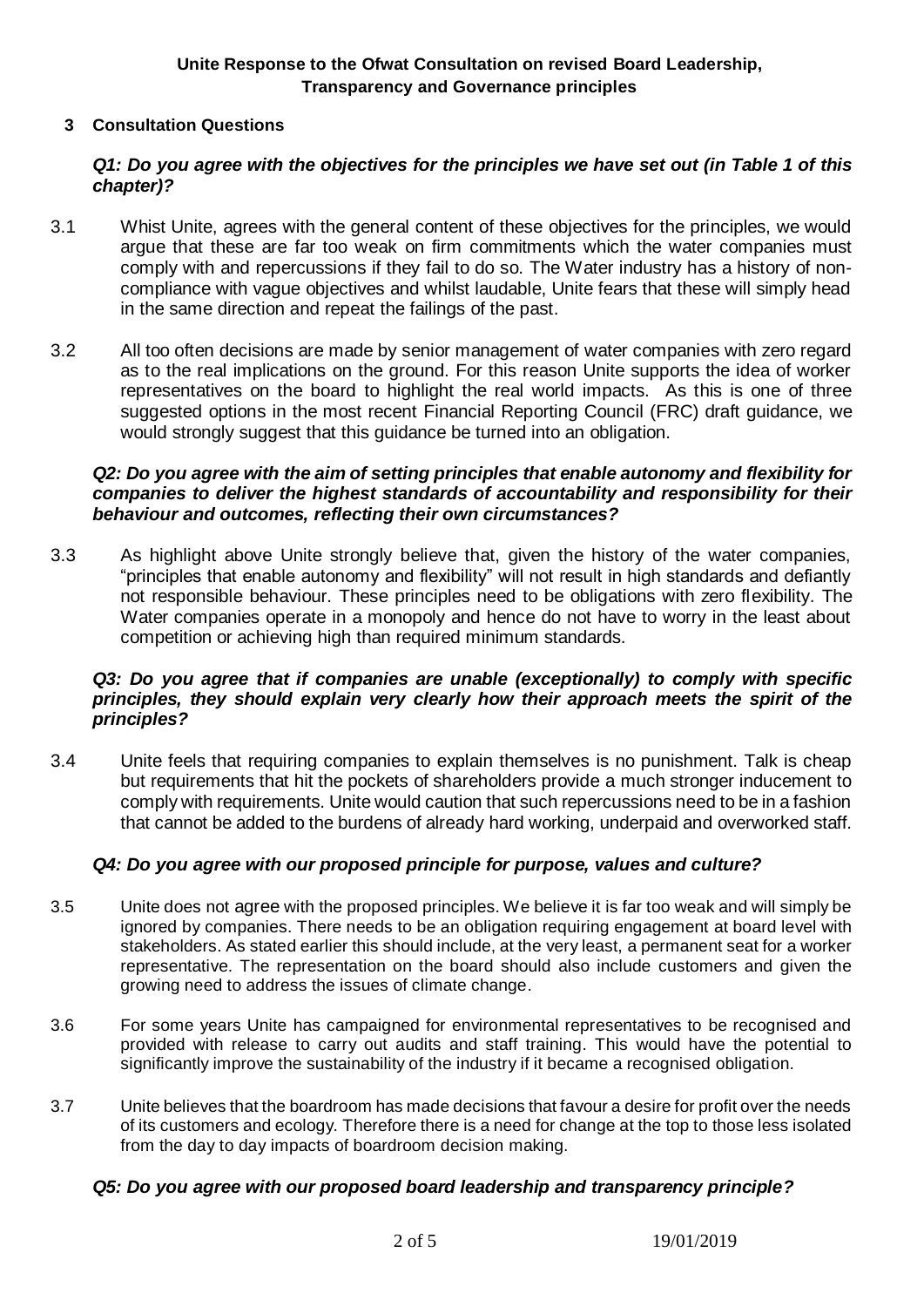### **3 Consultation Questions**

# *Q1: Do you agree with the objectives for the principles we have set out (in Table 1 of this chapter)?*

- 3.1 Whist Unite, agrees with the general content of these objectives for the principles, we would argue that these are far too weak on firm commitments which the water companies must comply with and repercussions if they fail to do so. The Water industry has a history of noncompliance with vague objectives and whilst laudable, Unite fears that these will simply head in the same direction and repeat the failings of the past.
- 3.2 All too often decisions are made by senior management of water companies with zero regard as to the real implications on the ground. For this reason Unite supports the idea of worker representatives on the board to highlight the real world impacts. As this is one of three suggested options in the most recent Financial Reporting Council (FRC) draft guidance, we would strongly suggest that this guidance be turned into an obligation.

### *Q2: Do you agree with the aim of setting principles that enable autonomy and flexibility for companies to deliver the highest standards of accountability and responsibility for their behaviour and outcomes, reflecting their own circumstances?*

3.3 As highlight above Unite strongly believe that, given the history of the water companies, "principles that enable autonomy and flexibility" will not result in high standards and defiantly not responsible behaviour. These principles need to be obligations with zero flexibility. The Water companies operate in a monopoly and hence do not have to worry in the least about competition or achieving high than required minimum standards.

# *Q3: Do you agree that if companies are unable (exceptionally) to comply with specific principles, they should explain very clearly how their approach meets the spirit of the principles?*

3.4 Unite feels that requiring companies to explain themselves is no punishment. Talk is cheap but requirements that hit the pockets of shareholders provide a much stronger inducement to comply with requirements. Unite would caution that such repercussions need to be in a fashion that cannot be added to the burdens of already hard working, underpaid and overworked staff.

# *Q4: Do you agree with our proposed principle for purpose, values and culture?*

- 3.5 Unite does not agree with the proposed principles. We believe it is far too weak and will simply be ignored by companies. There needs to be an obligation requiring engagement at board level with stakeholders. As stated earlier this should include, at the very least, a permanent seat for a worker representative. The representation on the board should also include customers and given the growing need to address the issues of climate change.
- 3.6 For some years Unite has campaigned for environmental representatives to be recognised and provided with release to carry out audits and staff training. This would have the potential to significantly improve the sustainability of the industry if it became a recognised obligation.
- 3.7 Unite believes that the boardroom has made decisions that favour a desire for profit over the needs of its customers and ecology. Therefore there is a need for change at the top to those less isolated from the day to day impacts of boardroom decision making.

#### *Q5: Do you agree with our proposed board leadership and transparency principle?*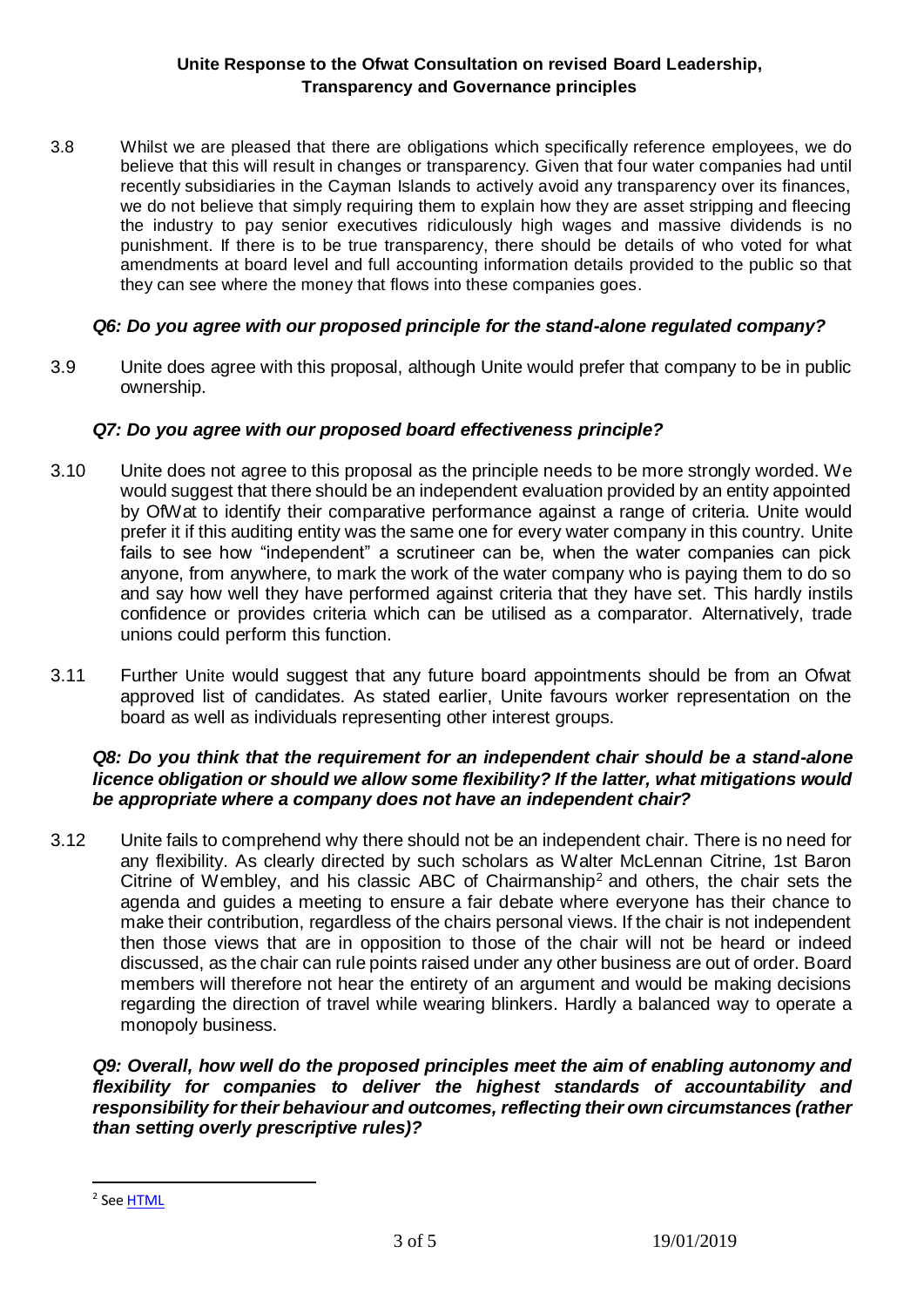3.8 Whilst we are pleased that there are obligations which specifically reference employees, we do believe that this will result in changes or transparency. Given that four water companies had until recently subsidiaries in the Cayman Islands to actively avoid any transparency over its finances, we do not believe that simply requiring them to explain how they are asset stripping and fleecing the industry to pay senior executives ridiculously high wages and massive dividends is no punishment. If there is to be true transparency, there should be details of who voted for what amendments at board level and full accounting information details provided to the public so that they can see where the money that flows into these companies goes.

## *Q6: Do you agree with our proposed principle for the stand-alone regulated company?*

3.9 Unite does agree with this proposal, although Unite would prefer that company to be in public ownership.

# *Q7: Do you agree with our proposed board effectiveness principle?*

- 3.10 Unite does not agree to this proposal as the principle needs to be more strongly worded. We would suggest that there should be an independent evaluation provided by an entity appointed by OfWat to identify their comparative performance against a range of criteria. Unite would prefer it if this auditing entity was the same one for every water company in this country. Unite fails to see how "independent" a scrutineer can be, when the water companies can pick anyone, from anywhere, to mark the work of the water company who is paying them to do so and say how well they have performed against criteria that they have set. This hardly instils confidence or provides criteria which can be utilised as a comparator. Alternatively, trade unions could perform this function.
- 3.11 Further Unite would suggest that any future board appointments should be from an Ofwat approved list of candidates. As stated earlier, Unite favours worker representation on the board as well as individuals representing other interest groups.

### *Q8: Do you think that the requirement for an independent chair should be a stand-alone licence obligation or should we allow some flexibility? If the latter, what mitigations would be appropriate where a company does not have an independent chair?*

3.12 Unite fails to comprehend why there should not be an independent chair. There is no need for any flexibility. As clearly directed by such scholars as Walter McLennan Citrine, 1st Baron Citrine of Wembley, and his classic ABC of Chairmanship<sup>2</sup> and others, the chair sets the agenda and guides a meeting to ensure a fair debate where everyone has their chance to make their contribution, regardless of the chairs personal views. If the chair is not independent then those views that are in opposition to those of the chair will not be heard or indeed discussed, as the chair can rule points raised under any other business are out of order. Board members will therefore not hear the entirety of an argument and would be making decisions regarding the direction of travel while wearing blinkers. Hardly a balanced way to operate a monopoly business.

*Q9: Overall, how well do the proposed principles meet the aim of enabling autonomy and flexibility for companies to deliver the highest standards of accountability and responsibility for their behaviour and outcomes, reflecting their own circumstances (rather than setting overly prescriptive rules)?* 

1

<sup>&</sup>lt;sup>2</sup> See <u>HTML</u>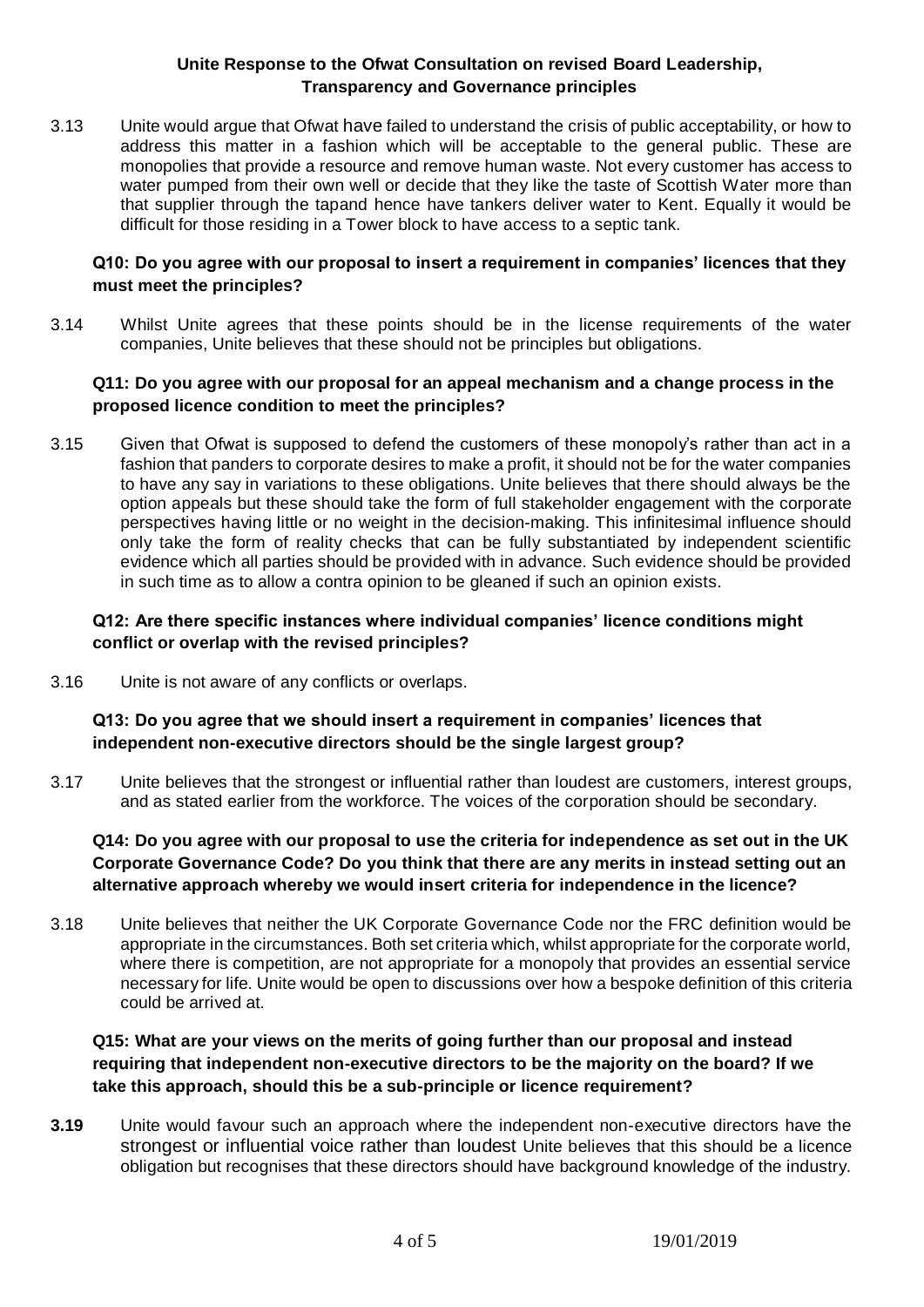3.13 Unite would argue that Ofwat have failed to understand the crisis of public acceptability, or how to address this matter in a fashion which will be acceptable to the general public. These are monopolies that provide a resource and remove human waste. Not every customer has access to water pumped from their own well or decide that they like the taste of Scottish Water more than that supplier through the tapand hence have tankers deliver water to Kent. Equally it would be difficult for those residing in a Tower block to have access to a septic tank.

### **Q10: Do you agree with our proposal to insert a requirement in companies' licences that they must meet the principles?**

3.14 Whilst Unite agrees that these points should be in the license requirements of the water companies, Unite believes that these should not be principles but obligations.

## **Q11: Do you agree with our proposal for an appeal mechanism and a change process in the proposed licence condition to meet the principles?**

3.15 Given that Ofwat is supposed to defend the customers of these monopoly's rather than act in a fashion that panders to corporate desires to make a profit, it should not be for the water companies to have any say in variations to these obligations. Unite believes that there should always be the option appeals but these should take the form of full stakeholder engagement with the corporate perspectives having little or no weight in the decision-making. This infinitesimal influence should only take the form of reality checks that can be fully substantiated by independent scientific evidence which all parties should be provided with in advance. Such evidence should be provided in such time as to allow a contra opinion to be gleaned if such an opinion exists.

# **Q12: Are there specific instances where individual companies' licence conditions might conflict or overlap with the revised principles?**

3.16 Unite is not aware of any conflicts or overlaps.

# **Q13: Do you agree that we should insert a requirement in companies' licences that independent non-executive directors should be the single largest group?**

3.17 Unite believes that the strongest or influential rather than loudest are customers, interest groups, and as stated earlier from the workforce. The voices of the corporation should be secondary.

# **Q14: Do you agree with our proposal to use the criteria for independence as set out in the UK Corporate Governance Code? Do you think that there are any merits in instead setting out an alternative approach whereby we would insert criteria for independence in the licence?**

3.18 Unite believes that neither the UK Corporate Governance Code nor the FRC definition would be appropriate in the circumstances. Both set criteria which, whilst appropriate for the corporate world, where there is competition, are not appropriate for a monopoly that provides an essential service necessary for life. Unite would be open to discussions over how a bespoke definition of this criteria could be arrived at.

# **Q15: What are your views on the merits of going further than our proposal and instead requiring that independent non-executive directors to be the majority on the board? If we take this approach, should this be a sub-principle or licence requirement?**

**3.19** Unite would favour such an approach where the independent non-executive directors have the strongest or influential voice rather than loudest Unite believes that this should be a licence obligation but recognises that these directors should have background knowledge of the industry.